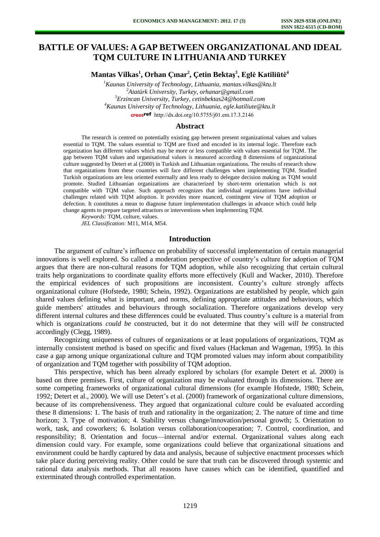# **BATTLE OF VALUES: A GAP BETWEEN ORGANIZATIONAL AND IDEAL TQM CULTURE IN LITHUANIA AND TURKEY**

**Mantas Vilkas<sup>1</sup> , Orhan Çınar<sup>2</sup> , Çetin Bektaş 3 , Eglė Katiliūtė<sup>4</sup>**

*Kaunas University of Technology, Lithuania, [mantas.vilkas@ktu.lt](mailto:mantas.vilkas@ktu.lt) Atatürk University, Turkey, [orhanar@gmail.com](mailto:orhanar@gmail.com)  Erzincan University, Turkey, [cetinbektas24@hotmail.com](mailto:cetinbektas24@hotmail.com) Kaunas University of Technology, Lithuania, [egle.katiliute@ktu.lt](mailto:egle.katiliute@ktu.lt)* crossref [http://dx.doi.org/10.5755/j01.e](http://dx.doi.org/10.5755/j01.em.17.3.2146)m.17.3.2146

#### **Abstract**

The research is centred on potentially existing gap between present organizational values and values essential to TQM. The values essential to TQM are fixed and encoded in its internal logic. Therefore each organization has different values which may be more or less compatible with values essential for TQM. The gap between TQM values and organisational values is measured according 8 dimensions of organizational culture suggested by Detert et al (2000) in Turkish and Lithuanian organizations. The results of research show that organizations from these countries will face different challenges when implementing TQM. Studied Turkish organizations are less oriented externally and less ready to delegate decision making as TQM would promote. Studied Lithuanian organizations are characterized by short-term orientation which is not compatible with TQM value. Such approach recognizes that individual organizations have individual challenges related with TQM adoption. It provides more nuanced, contingent view of TQM adoption or defection. It constitutes a mean to diagnose future implementation challenges in advance which could help change agents to prepare targeted attractors or interventions when implementing TQM.

*Keywords:* TQM, culture, values. *JEL Classification:* M11, M14, M54.

#### **Introduction**

The argument of culture's influence on probability of successful implementation of certain managerial innovations is well explored. So called a moderation perspective of country's culture for adoption of TQM argues that there are non-cultural reasons for TQM adoption, while also recognizing that certain cultural traits help organizations to coordinate quality efforts more effectively (Kull and Wacker, 2010). Therefore the empirical evidences of such propositions are inconsistent. Country's culture strongly affects organizational culture (Hofstede, 1980; Schein, 1992). Organizations are established by people, which gain shared values defining what is important, and norms, defining appropriate attitudes and behaviours, which guide members' attitudes and behaviours through socialization. Therefore organizations develop very different internal cultures and these differences could be evaluated. Thus country's culture is a material from which is organizations *could be* constructed, but it do not determine that they will *will be* constructed accordingly (Clegg, 1989).

Recognizing uniqueness of cultures of organizations or at least populations of organizations, TQM as internally consistent method is based on specific and fixed values (Hackman and Wageman, 1995). In this case a gap among unique organizational culture and TQM promoted values may inform about compatibility of organization and TQM together with possibility of TQM adoption.

This perspective, which has been already explored by scholars (for example Detert et al. 2000) is based on three premises. First, culture of organization may be evaluated through its dimensions. There are some competing frameworks of organizational cultural dimensions (for example Hofstede, 1980; Schein, 1992; Detert et al., 2000). We will use Detert's et al. (2000) framework of organizational culture dimensions, because of its comprehensiveness. They argued that organizational culture could be evaluated according these 8 dimensions: 1. The basis of truth and rationality in the organization; 2. The nature of time and time horizon; 3. Type of motivation; 4. Stability versus change/innovation/personal growth; 5. Orientation to work, task, and coworkers; 6. Isolation versus collaboration/cooperation; 7. Control, coordination, and responsibility; 8. Orientation and focus—internal and/or external. Organizational values along each dimension could vary. For example, some organizations could believe that organizational situations and environment could be hardly captured by data and analysis, because of subjective enactment processes which take place during perceiving reality. Other could be sure that truth can be discovered through systemic and rational data analysis methods. That all reasons have causes which can be identified, quantified and exterminated through controlled experimentation.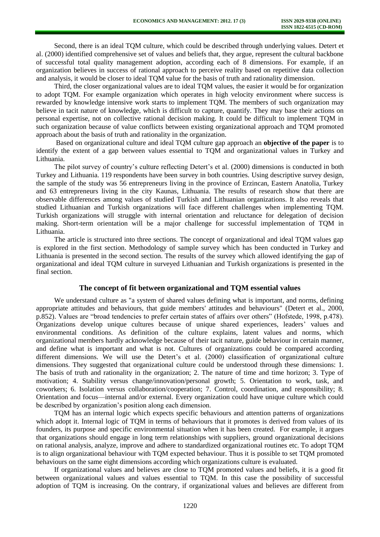Second, there is an ideal TQM culture, which could be described through underlying values. Detert et al. (2000) identified comprehensive set of values and beliefs that, they argue, represent the cultural backbone of successful total quality management adoption, according each of 8 dimensions. For example, if an organization believes in success of rational approach to perceive reality based on repetitive data collection and analysis, it would be closer to ideal TQM value for the basis of truth and rationality dimension.

Third, the closer organizational values are to ideal TQM values, the easier it would be for organization to adopt TQM. For example organization which operates in high velocity environment where success is rewarded by knowledge intensive work starts to implement TQM. The members of such organization may believe in tacit nature of knowledge, which is difficult to capture, quantify. They may base their actions on personal expertise, not on collective rational decision making. It could be difficult to implement TQM in such organization because of value conflicts between existing organizational approach and TQM promoted approach about the basis of truth and rationality in the organization.

Based on organizational culture and ideal TQM culture gap approach an **objective of the paper** is to identify the extent of a gap between values essential to TQM and organizational values in Turkey and Lithuania.

The pilot survey of country's culture reflecting Detert's et al. (2000) dimensions is conducted in both Turkey and Lithuania. 119 respondents have been survey in both countries. Using descriptive survey design, the sample of the study was 56 entrepreneurs living in the province of Erzincan, Eastern Anatolia, Turkey and 63 entrepreneurs living in the city Kaunas, Lithuania. The results of research show that there are observable differences among values of studied Turkish and Lithuanian organizations. It also reveals that studied Lithuanian and Turkish organizations will face different challenges when implementing TQM. Turkish organizations will struggle with internal orientation and reluctance for delegation of decision making. Short-term orientation will be a major challenge for successful implementation of TQM in Lithuania.

The article is structured into three sections. The concept of organizational and ideal TQM values gap is explored in the first section. Methodology of sample survey which has been conducted in Turkey and Lithuania is presented in the second section. The results of the survey which allowed identifying the gap of organizational and ideal TQM culture in surveyed Lithuanian and Turkish organizations is presented in the final section.

### **The concept of fit between organizational and TQM essential values**

We understand culture as "a system of shared values defining what is important, and norms, defining appropriate attitudes and behaviours, that guide members' attitudes and behaviours" (Detert et al., 2000, p.852). Values are "broad tendencies to prefer certain states of affairs over others" (Hofstede, 1998, p.478). Organizations develop unique cultures because of unique shared experiences, leaders' values and environmental conditions. As definition of the culture explains, latent values and norms, which organizational members hardly acknowledge because of their tacit nature, guide behaviour in certain manner, and define what is important and what is not. Cultures of organizations could be compared according different dimensions. We will use the Detert's et al. (2000) classification of organizational culture dimensions. They suggested that organizational culture could be understood through these dimensions: 1. The basis of truth and rationality in the organization; 2. The nature of time and time horizon; 3. Type of motivation; 4. Stability versus change/innovation/personal growth; 5. Orientation to work, task, and coworkers; 6. Isolation versus collaboration/cooperation; 7. Control, coordination, and responsibility; 8. Orientation and focus—internal and/or external. Every organization could have unique culture which could be described by organization's position along each dimension.

TQM has an internal logic which expects specific behaviours and attention patterns of organizations which adopt it. Internal logic of TQM in terms of behaviours that it promotes is derived from values of its founders, its purpose and specific environmental situation when it has been created. For example, it argues that organizations should engage in long term relationships with suppliers, ground organizational decisions on rational analysis, analyze, improve and adhere to standardized organizational routines etc. To adopt TQM is to align organizational behaviour with TQM expected behaviour. Thus it is possible to set TQM promoted behaviours on the same eight dimensions according which organizations culture is evaluated.

If organizational values and believes are close to TQM promoted values and beliefs, it is a good fit between organizational values and values essential to TQM. In this case the possibility of successful adoption of TQM is increasing. On the contrary, if organizational values and believes are different from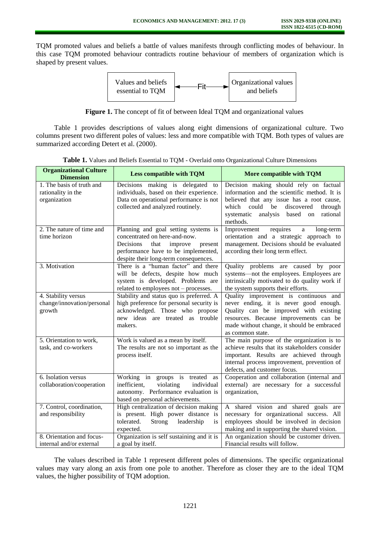TQM promoted values and beliefs a battle of values manifests through conflicting modes of behaviour. In this case TQM promoted behaviour contradicts routine behaviour of members of organization which is shaped by present values.



**Figure 1.** The concept of fit of between Ideal TQM and organizational values

Table 1 provides descriptions of values along eight dimensions of organizational culture. Two columns present two different poles of values: less and more compatible with TQM. Both types of values are summarized according Detert et al. (2000).

| <b>Organizational Culture</b><br><b>Dimension</b>               | <b>Less compatible with TQM</b>                                                                                                                                                                  | More compatible with TQM                                                                                                                                                                                                                     |  |  |  |
|-----------------------------------------------------------------|--------------------------------------------------------------------------------------------------------------------------------------------------------------------------------------------------|----------------------------------------------------------------------------------------------------------------------------------------------------------------------------------------------------------------------------------------------|--|--|--|
| 1. The basis of truth and<br>rationality in the<br>organization | Decisions making is delegated<br>to<br>individuals, based on their experience.<br>Data on operational performance is not<br>collected and analyzed routinely.                                    | Decision making should rely on factual<br>information and the scientific method. It is<br>believed that any issue has a root cause,<br>could<br>which<br>be<br>discovered<br>through<br>analysis based on rational<br>systematic<br>methods. |  |  |  |
| 2. The nature of time and<br>time horizon                       | Planning and goal setting systems is<br>concentrated on here-and-now.<br>Decisions<br>that<br>improve<br>present<br>performance have to be implemented,<br>despite their long-term consequences. | Improvement<br>requires<br>long-term<br>a<br>orientation and a strategic approach to<br>management. Decisions should be evaluated<br>according their long term effect.                                                                       |  |  |  |
| 3. Motivation                                                   | There is a "human factor" and there<br>will be defects, despite how much<br>system is developed. Problems are<br>related to employees not - processes.                                           | Quality problems are caused by poor<br>systems—not the employees. Employees are<br>intrinsically motivated to do quality work if<br>the system supports their efforts.                                                                       |  |  |  |
| 4. Stability versus<br>change/innovation/personal<br>growth     | Stability and status quo is preferred. A<br>high preference for personal security is<br>acknowledged. Those who propose<br>new ideas are treated as trouble<br>makers.                           | Quality improvement is continuous and<br>never ending, it is never good enough.<br>Quality can be improved with existing<br>resources. Because improvements can be<br>made without change, it should be embraced<br>as common state.         |  |  |  |
| 5. Orientation to work,<br>task, and co-workers                 | Work is valued as a mean by itself.<br>The results are not so important as the<br>process itself.                                                                                                | The main purpose of the organization is to<br>achieve results that its stakeholders consider<br>important. Results are achieved through<br>internal process improvement, prevention of<br>defects, and customer focus.                       |  |  |  |
| 6. Isolation versus<br>collaboration/cooperation                | Working in groups is treated<br>as<br>inefficient,<br>violating<br>individual<br>autonomy. Performance evaluation is<br>based on personal achievements.                                          | Cooperation and collaboration (internal and<br>external) are necessary for a successful<br>organization,                                                                                                                                     |  |  |  |
| 7. Control, coordination,<br>and responsibility                 | High centralization of decision making<br>is present. High power distance is<br>tolerated.<br>Strong<br>leadership<br>is<br>expected.                                                            | A shared vision and shared goals are<br>necessary for organizational success. All<br>employees should be involved in decision<br>making and in supporting the shared vision.                                                                 |  |  |  |
| 8. Orientation and focus-<br>internal and/or external           | Organization is self sustaining and it is<br>a goal by itself.                                                                                                                                   | An organization should be customer driven.<br>Financial results will follow.                                                                                                                                                                 |  |  |  |

**Table 1.** Values and Beliefs Essential to TQM - Overlaid onto Organizational Culture Dimensions

The values described in Table 1 represent different poles of dimensions. The specific organizational values may vary along an axis from one pole to another. Therefore as closer they are to the ideal TQM values, the higher possibility of TQM adoption.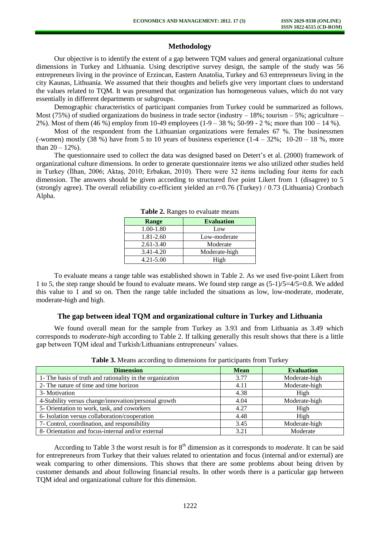# **Methodology**

Our objective is to identify the extent of a gap between TQM values and general organizational culture dimensions in Turkey and Lithuania. Using descriptive survey design, the sample of the study was 56 entrepreneurs living in the province of Erzincan, Eastern Anatolia, Turkey and 63 entrepreneurs living in the city Kaunas, Lithuania. We assumed that their thoughts and beliefs give very important clues to understand the values related to TQM. It was presumed that organization has homogeneous values, which do not vary essentially in different departments or subgroups.

Demographic characteristics of participant companies from Turkey could be summarized as follows. Most (75%) of studied organizations do business in trade sector (industry  $-18$ %; tourism  $-5$ %; agriculture – 2%). Most of them (46 %) employ from 10-49 employees (1-9 – 38 %; 50-99 - 2 %; more than 100 – 14 %).

Most of the respondent from the Lithuanian organizations were females 67 %. The businessmen (-women) mostly (38 %) have from 5 to 10 years of business experience  $(1-4 - 32\%; 10-20 - 18\%$ , more than  $20 - 12%$ ).

The questionnaire used to collect the data was designed based on Detert's et al. (2000) framework of organizational culture dimensions. In order to generate questionnaire items we also utilized other studies held in Turkey (İlhan, 2006; Aktaş, 2010; Erbakan, 2010). There were 32 items including four items for each dimension. The answers should be given according to structured five point Likert from 1 (disagree) to 5 (strongly agree). The overall reliability co-efficient yielded an r=0.76 (Turkey) / 0.73 (Lithuania) Cronbach Alpha.

| Range         | <b>Evaluation</b> |
|---------------|-------------------|
| 1.00-1.80     | Low               |
| 1.81-2.60     | Low-moderate      |
| $2.61 - 3.40$ | Moderate          |
| 3.41-4.20     | Moderate-high     |
| $4.21 - 5.00$ | High              |

**Table 2.** Ranges to evaluate means

To evaluate means a range table was established shown in Table 2. As we used five-point Likert from 1 to 5, the step range should be found to evaluate means. We found step range as (5-1)/5=4/5=0.8. We added this value to 1 and so on. Then the range table included the situations as low, low-moderate, moderate, moderate-high and high.

### **The gap between ideal TQM and organizational culture in Turkey and Lithuania**

We found overall mean for the sample from Turkey as 3.93 and from Lithuania as 3.49 which corresponds to *moderate-high* according to Table 2. If talking generally this result shows that there is a little gap between TQM ideal and Turkish/Lithuanians entrepreneurs' values.

| <b>Dimension</b>                                          | <b>Mean</b> | <b>Evaluation</b> |
|-----------------------------------------------------------|-------------|-------------------|
| 1- The basis of truth and rationality in the organization | 3.77        | Moderate-high     |
| 2- The nature of time and time horizon                    | 4.11        | Moderate-high     |
| 3- Motivation                                             | 4.38        | High              |
| 4-Stability versus change/innovation/personal growth      | 4.04        | Moderate-high     |
| 5- Orientation to work, task, and coworkers               | 4.27        | High              |
| 6- Isolation versus collaboration/cooperation             | 4.48        | High              |
| 7- Control, coordination, and responsibility              | 3.45        | Moderate-high     |
| 8- Orientation and focus-internal and/or external         | 3.21        | Moderate          |

**Table 3.** Means according to dimensions for participants from Turkey

According to Table 3 the worst result is for 8<sup>th</sup> dimension as it corresponds to *moderate*. It can be said for entrepreneurs from Turkey that their values related to orientation and focus (internal and/or external) are weak comparing to other dimensions. This shows that there are some problems about being driven by customer demands and about following financial results. In other words there is a particular gap between TQM ideal and organizational culture for this dimension.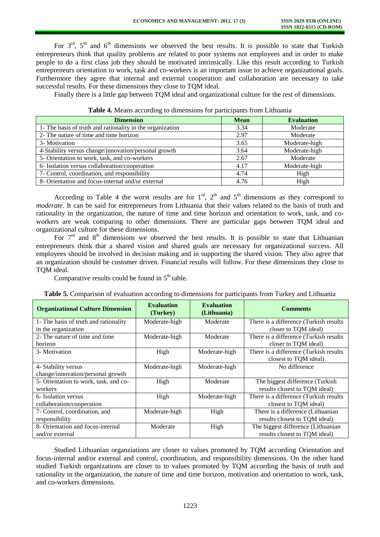For  $3<sup>rd</sup>$ ,  $5<sup>th</sup>$  and  $6<sup>th</sup>$  dimensions we observed the best results. It is possible to state that Turkish entrepreneurs think that quality problems are related to poor systems not employees and in order to make people to do a first class job they should be motivated intrinsically. Like this result according to Turkish entrepreneurs orientation to work, task and co-workers is an important issue to achieve organizational goals. Furthermore they agree that internal and external cooperation and collaboration are necessary to take successful results. For these dimensions they close to TQM ideal.

Finally there is a little gap between TQM ideal and organizational culture for the rest of dimensions.

| <b>Dimension</b>                                          | <b>Mean</b> | <b>Evaluation</b> |
|-----------------------------------------------------------|-------------|-------------------|
| 1- The basis of truth and rationality in the organization | 3.34        | Moderate          |
| 2- The nature of time and time horizon                    | 2.97        | Moderate          |
| 3- Motivation                                             | 3.65        | Moderate-high     |
| 4-Stability versus change/innovation/personal growth      | 3.64        | Moderate-high     |
| 5- Orientation to work, task, and co-workers              | 2.67        | Moderate          |
| 6- Isolation versus collaboration/cooperation             | 4.17        | Moderate-high     |
| 7- Control, coordination, and responsibility              | 4.74        | High              |
| 8- Orientation and focus-internal and/or external         | 4.76        | High              |

| Table 4. Means according to dimensions for participants from Lithuania |  |  |
|------------------------------------------------------------------------|--|--|
|                                                                        |  |  |

According to Table 4 the worst results are for  $1<sup>rd</sup>$ ,  $2<sup>th</sup>$  and  $5<sup>th</sup>$  dimensions as they correspond to *moderate*. It can be said for entrepreneurs from Lithuania that their values related to the basis of truth and rationality in the organization, the nature of time and time horizon and orientation to work, task, and coworkers are weak comparing to other dimensions. There are particular gaps between TQM ideal and organizational culture for these dimensions.

For  $7<sup>rd</sup>$  and  $8<sup>th</sup>$  dimensions we observed the best results. It is possible to state that Lithuanian entrepreneurs think that a shared vision and shared goals are necessary for organizational success. All employees should be involved in decision making and in supporting the shared vision. They also agree that an organization should be customer driven. Financial results will follow. For these dimensions they close to TQM ideal.

Comparative results could be found in  $5<sup>th</sup>$  table.

| <b>Organizational Culture Dimension</b> | <b>Evaluation</b><br>(Turkey) | <b>Evaluation</b><br>(Lithuania) | <b>Comments</b>                         |  |  |
|-----------------------------------------|-------------------------------|----------------------------------|-----------------------------------------|--|--|
| 1- The basis of truth and rationality   | Moderate-high                 | Moderate                         | There is a difference (Turkish results) |  |  |
| in the organization                     |                               |                                  | closer to TQM ideal)                    |  |  |
| 2- The nature of time and time          | Moderate-high                 | Moderate                         | There is a difference (Turkish results  |  |  |
| horizon                                 |                               |                                  | closer to TQM ideal)                    |  |  |
| 3- Motivation                           | High                          | Moderate-high                    | There is a difference (Turkish results  |  |  |
|                                         |                               |                                  | closest to TQM ideal)                   |  |  |
| 4- Stability versus                     | Moderate-high                 | Moderate-high                    | No difference                           |  |  |
| change/innovation/personal growth       |                               |                                  |                                         |  |  |
| 5- Orientation to work, task, and co-   | High                          | Moderate                         | The biggest difference (Turkish         |  |  |
| workers                                 |                               |                                  | results closest to TQM ideal)           |  |  |
| 6- Isolation versus                     | High                          | Moderate-high                    | There is a difference (Turkish results  |  |  |
| collaboration/cooperation               |                               |                                  | closest to TQM ideal)                   |  |  |
| 7- Control, coordination, and           | Moderate-high                 | High                             | There is a difference (Lithuanian       |  |  |
| responsibility                          |                               |                                  | results closest to TQM ideal)           |  |  |
| 8- Orientation and focus-internal       | Moderate                      | High                             | The biggest difference (Lithuanian      |  |  |
| and/or external                         |                               |                                  | results closest to TQM ideal)           |  |  |

|  |  |  | Table 5. Comparison of evaluation according to dimensions for participants from Turkey and Lithuania |
|--|--|--|------------------------------------------------------------------------------------------------------|
|  |  |  |                                                                                                      |

Studied Lithuanian organziations are closer to values promoted by TQM according Orientation and focus-internal and/or external and control, coordination, and responsibility dimensions. On the other hand studied Turkish organizations are closer to to values promoted by TQM according the basis of truth and rationality in the organization, the nature of time and time horizon, motivation and orientation to work, task, and co-workers dimensions.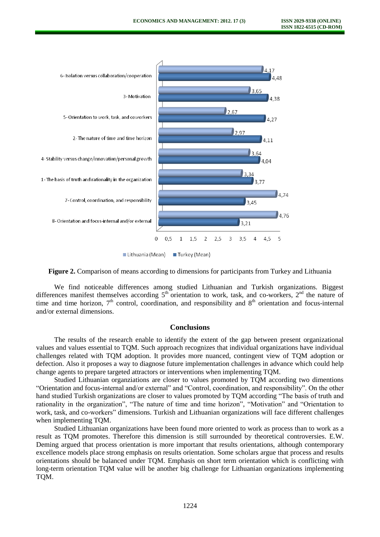

**Figure 2.** Comparison of means according to dimensions for participants from Turkey and Lithuania

We find noticeable differences among studied Lithuanian and Turkish organizations. Biggest differences manifest themselves according  $5<sup>th</sup>$  orientation to work, task, and co-workers,  $2<sup>nd</sup>$  the nature of time and time horizon,  $7<sup>th</sup>$  control, coordination, and responsibility and  $8<sup>th</sup>$  orientation and focus-internal and/or external dimensions.

### **Conclusions**

The results of the research enable to identify the extent of the gap between present organizational values and values essential to TQM. Such approach recognizes that individual organizations have individual challenges related with TQM adoption. It provides more nuanced, contingent view of TQM adoption or defection. Also it proposes a way to diagnose future implementation challenges in advance which could help change agents to prepare targeted attractors or interventions when implementing TQM.

Studied Lithuanian organziations are closer to values promoted by TQM according two dimentions "Orientation and focus-internal and/or external" and "Control, coordination, and responsibility". On the other hand studied Turkish organizations are closer to values promoted by TQM according "The basis of truth and rationality in the organization", "The nature of time and time horizon", "Motivation" and "Orientation to work, task, and co-workers" dimensions. Turkish and Lithuanian organizations will face different challenges when implementing TQM.

Studied Lithuanian organizations have been found more oriented to work as process than to work as a result as TQM promotes. Therefore this dimension is still surrounded by theoretical controversies. E.W. Deming argued that process orientation is more important that results orientations, although contemporary excellence models place strong emphasis on results orientation. Some scholars argue that process and results orientations should be balanced under TQM. Emphasis on short term orientation which is conflicting with long-term orientation TQM value will be another big challenge for Lithuanian organizations implementing TQM.